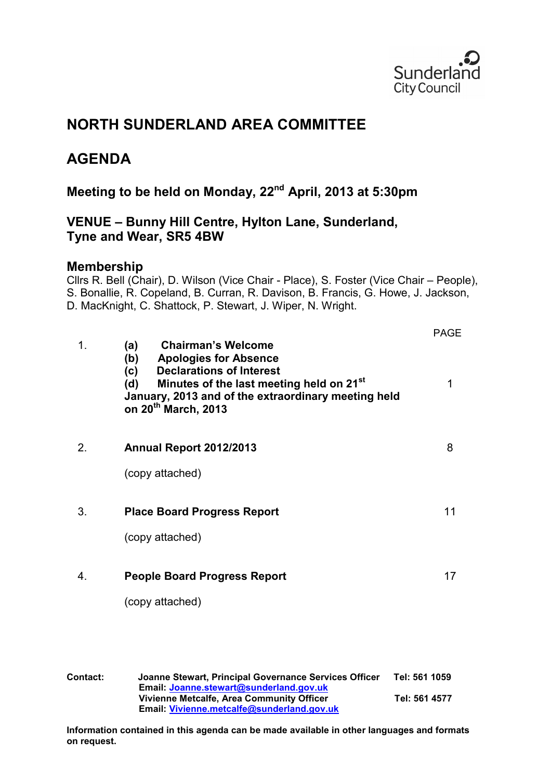

# **NORTH SUNDERLAND AREA COMMITTEE**

# **AGENDA**

# **Meeting to be held on Monday, 22nd April, 2013 at 5:30pm**

# **VENUE – Bunny Hill Centre, Hylton Lane, Sunderland, Tyne and Wear, SR5 4BW**

# **Membership**

Cllrs R. Bell (Chair), D. Wilson (Vice Chair - Place), S. Foster (Vice Chair – People), S. Bonallie, R. Copeland, B. Curran, R. Davison, B. Francis, G. Howe, J. Jackson, D. MacKnight, C. Shattock, P. Stewart, J. Wiper, N. Wright.

| 1. | <b>Chairman's Welcome</b><br>(a)                                                                                                                                                                                                       | <b>PAGE</b> |
|----|----------------------------------------------------------------------------------------------------------------------------------------------------------------------------------------------------------------------------------------|-------------|
|    | (b)<br><b>Apologies for Absence</b><br><b>Declarations of Interest</b><br>(c)<br>Minutes of the last meeting held on 21 <sup>st</sup><br>(d)<br>January, 2013 and of the extraordinary meeting held<br>on 20 <sup>th</sup> March, 2013 | 1           |
| 2. | Annual Report 2012/2013                                                                                                                                                                                                                | 8           |
|    | (copy attached)                                                                                                                                                                                                                        |             |
| 3. | <b>Place Board Progress Report</b>                                                                                                                                                                                                     | 11          |
|    | (copy attached)                                                                                                                                                                                                                        |             |
| 4. | <b>People Board Progress Report</b>                                                                                                                                                                                                    | 17          |
|    | (copy attached)                                                                                                                                                                                                                        |             |

**Contact: Joanne Stewart, Principal Governance Services Officer Tel: 561 1059 Email: [Joanne.stewart@sunderland.gov.uk](mailto:Joanne.stewart@sunderland.gov.uk) Vivienne Metcalfe, Area Community Officer Tel: 561 4577 Email: [Vivienne.metcalfe@sunderland.gov.uk](mailto:Vivienne.metcalfe@sunderland.gov.uk)** 

**Information contained in this agenda can be made available in other languages and formats on request.**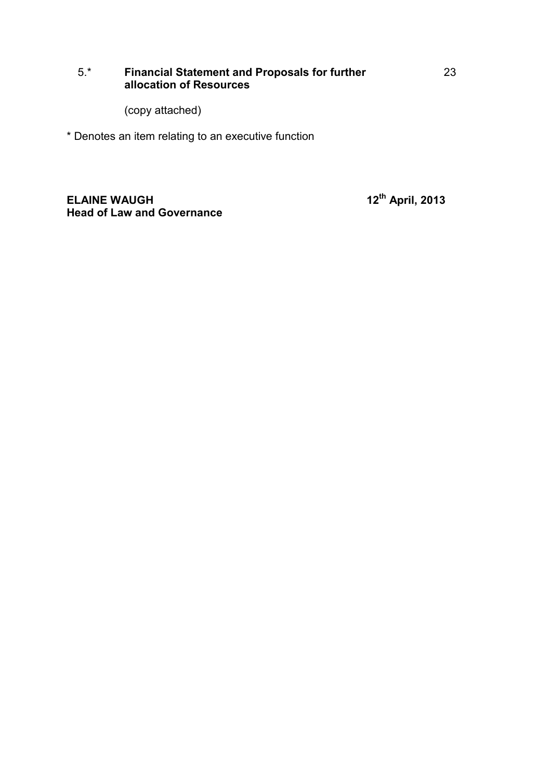# 5.\* **Financial Statement and Proposals for further allocation of Resources**

(copy attached)

\* Denotes an item relating to an executive function

**ELAINE WAUGH 12th April, 2013 Head of Law and Governance**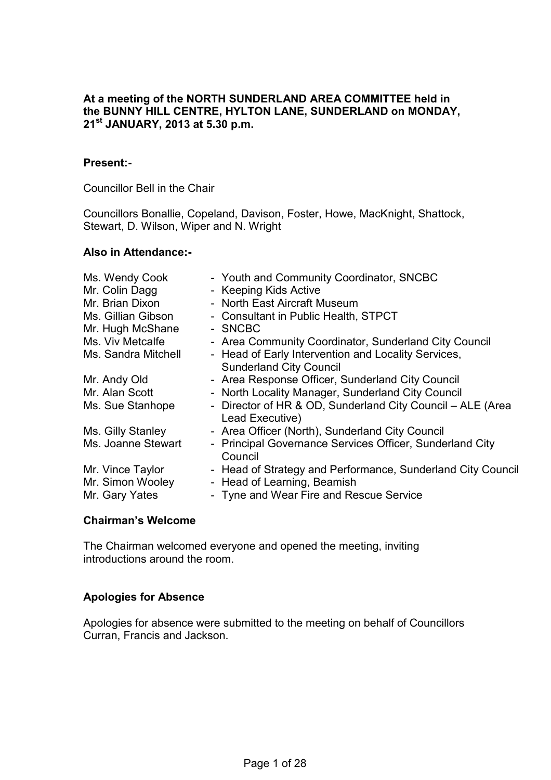#### **At a meeting of the NORTH SUNDERLAND AREA COMMITTEE held in the BUNNY HILL CENTRE, HYLTON LANE, SUNDERLAND on MONDAY, 21st JANUARY, 2013 at 5.30 p.m.**

#### **Present:-**

Councillor Bell in the Chair

Councillors Bonallie, Copeland, Davison, Foster, Howe, MacKnight, Shattock, Stewart, D. Wilson, Wiper and N. Wright

#### **Also in Attendance:-**

| Ms. Wendy Cook                       | - Youth and Community Coordinator, SNCBC                                                   |
|--------------------------------------|--------------------------------------------------------------------------------------------|
| Mr. Colin Dagg                       | - Keeping Kids Active                                                                      |
| Mr. Brian Dixon                      | - North East Aircraft Museum                                                               |
| Ms. Gillian Gibson                   | - Consultant in Public Health, STPCT                                                       |
| Mr. Hugh McShane                     | - SNCBC                                                                                    |
| Ms. Viv Metcalfe                     | - Area Community Coordinator, Sunderland City Council                                      |
| Ms. Sandra Mitchell                  | - Head of Early Intervention and Locality Services,                                        |
|                                      | <b>Sunderland City Council</b>                                                             |
| Mr. Andy Old                         | - Area Response Officer, Sunderland City Council                                           |
| Mr. Alan Scott                       | - North Locality Manager, Sunderland City Council                                          |
| Ms. Sue Stanhope                     | - Director of HR & OD, Sunderland City Council - ALE (Area<br>Lead Executive)              |
| Ms. Gilly Stanley                    | - Area Officer (North), Sunderland City Council                                            |
| Ms. Joanne Stewart                   | - Principal Governance Services Officer, Sunderland City<br>Council                        |
| Mr. Vince Taylor<br>Mr. Simon Wooley | - Head of Strategy and Performance, Sunderland City Council<br>- Head of Learning, Beamish |
| Mr. Gary Yates                       | - Tyne and Wear Fire and Rescue Service                                                    |
|                                      |                                                                                            |

#### **Chairman's Welcome**

The Chairman welcomed everyone and opened the meeting, inviting introductions around the room.

## **Apologies for Absence**

Apologies for absence were submitted to the meeting on behalf of Councillors Curran, Francis and Jackson.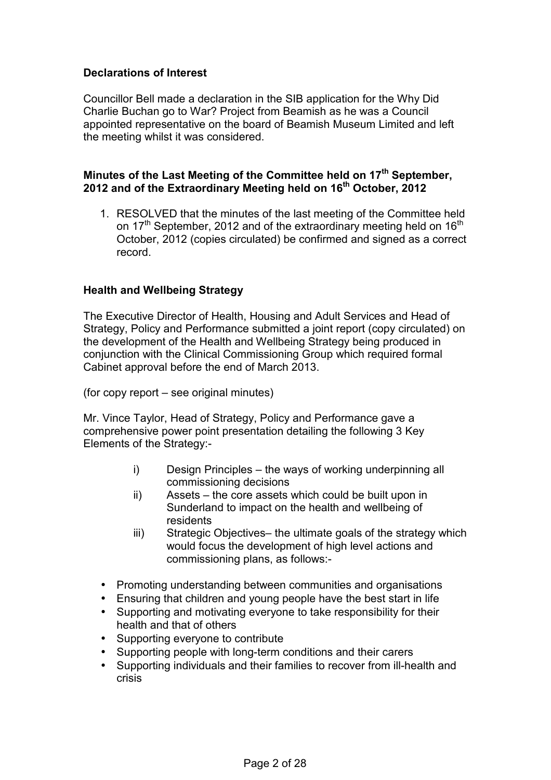# **Declarations of Interest**

Councillor Bell made a declaration in the SIB application for the Why Did Charlie Buchan go to War? Project from Beamish as he was a Council appointed representative on the board of Beamish Museum Limited and left the meeting whilst it was considered.

# **Minutes of the Last Meeting of the Committee held on 17th September, 2012 and of the Extraordinary Meeting held on 16th October, 2012**

1. RESOLVED that the minutes of the last meeting of the Committee held on 17<sup>th</sup> September, 2012 and of the extraordinary meeting held on 16<sup>th</sup> October, 2012 (copies circulated) be confirmed and signed as a correct record.

## **Health and Wellbeing Strategy**

The Executive Director of Health, Housing and Adult Services and Head of Strategy, Policy and Performance submitted a joint report (copy circulated) on the development of the Health and Wellbeing Strategy being produced in conjunction with the Clinical Commissioning Group which required formal Cabinet approval before the end of March 2013.

(for copy report – see original minutes)

Mr. Vince Taylor, Head of Strategy, Policy and Performance gave a comprehensive power point presentation detailing the following 3 Key Elements of the Strategy:-

- i) Design Principles the ways of working underpinning all commissioning decisions
- ii) Assets the core assets which could be built upon in Sunderland to impact on the health and wellbeing of residents
- iii) Strategic Objectives– the ultimate goals of the strategy which would focus the development of high level actions and commissioning plans, as follows:-
- Promoting understanding between communities and organisations
- Ensuring that children and young people have the best start in life
- Supporting and motivating everyone to take responsibility for their health and that of others
- Supporting everyone to contribute
- Supporting people with long-term conditions and their carers
- Supporting individuals and their families to recover from ill-health and crisis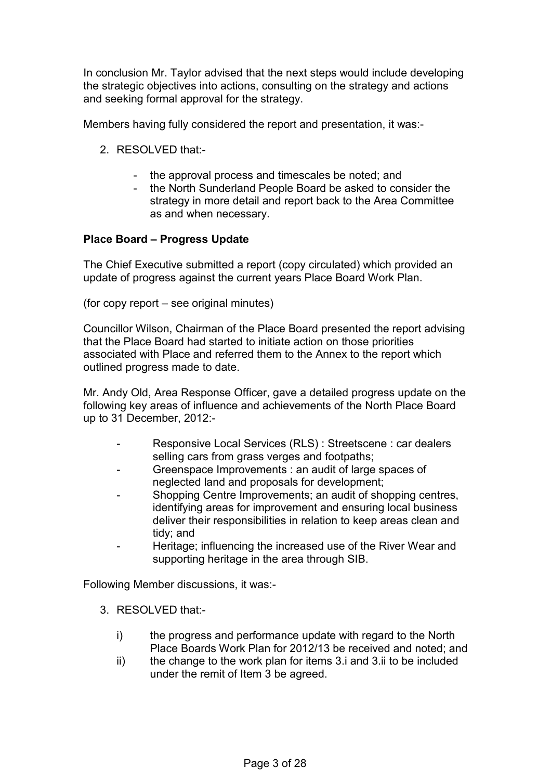In conclusion Mr. Taylor advised that the next steps would include developing the strategic objectives into actions, consulting on the strategy and actions and seeking formal approval for the strategy.

Members having fully considered the report and presentation, it was:-

- 2. RESOLVED that:-
	- the approval process and timescales be noted; and
	- the North Sunderland People Board be asked to consider the strategy in more detail and report back to the Area Committee as and when necessary.

# **Place Board – Progress Update**

The Chief Executive submitted a report (copy circulated) which provided an update of progress against the current years Place Board Work Plan.

(for copy report – see original minutes)

Councillor Wilson, Chairman of the Place Board presented the report advising that the Place Board had started to initiate action on those priorities associated with Place and referred them to the Annex to the report which outlined progress made to date.

Mr. Andy Old, Area Response Officer, gave a detailed progress update on the following key areas of influence and achievements of the North Place Board up to 31 December, 2012:-

- Responsive Local Services (RLS) : Streetscene : car dealers selling cars from grass verges and footpaths;
- Greenspace Improvements : an audit of large spaces of neglected land and proposals for development;
- Shopping Centre Improvements; an audit of shopping centres, identifying areas for improvement and ensuring local business deliver their responsibilities in relation to keep areas clean and tidy; and
- Heritage; influencing the increased use of the River Wear and supporting heritage in the area through SIB.

Following Member discussions, it was:-

- 3. RESOLVED that:
	- i) the progress and performance update with regard to the North Place Boards Work Plan for 2012/13 be received and noted; and
	- ii) the change to the work plan for items 3.i and 3.ii to be included under the remit of Item 3 be agreed.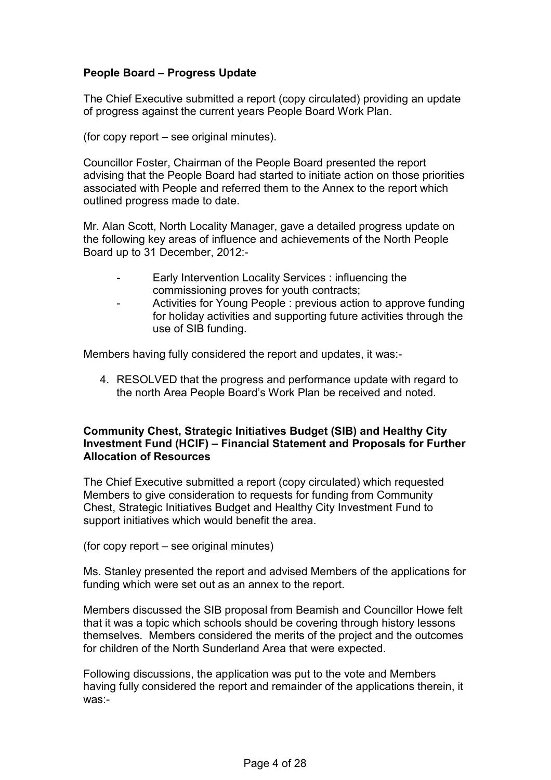# **People Board – Progress Update**

The Chief Executive submitted a report (copy circulated) providing an update of progress against the current years People Board Work Plan.

(for copy report – see original minutes).

Councillor Foster, Chairman of the People Board presented the report advising that the People Board had started to initiate action on those priorities associated with People and referred them to the Annex to the report which outlined progress made to date.

Mr. Alan Scott, North Locality Manager, gave a detailed progress update on the following key areas of influence and achievements of the North People Board up to 31 December, 2012:-

- Early Intervention Locality Services : influencing the commissioning proves for youth contracts;
- Activities for Young People : previous action to approve funding for holiday activities and supporting future activities through the use of SIB funding.

Members having fully considered the report and updates, it was:-

4. RESOLVED that the progress and performance update with regard to the north Area People Board's Work Plan be received and noted.

## **Community Chest, Strategic Initiatives Budget (SIB) and Healthy City Investment Fund (HCIF) – Financial Statement and Proposals for Further Allocation of Resources**

The Chief Executive submitted a report (copy circulated) which requested Members to give consideration to requests for funding from Community Chest, Strategic Initiatives Budget and Healthy City Investment Fund to support initiatives which would benefit the area.

(for copy report – see original minutes)

Ms. Stanley presented the report and advised Members of the applications for funding which were set out as an annex to the report.

Members discussed the SIB proposal from Beamish and Councillor Howe felt that it was a topic which schools should be covering through history lessons themselves. Members considered the merits of the project and the outcomes for children of the North Sunderland Area that were expected.

Following discussions, the application was put to the vote and Members having fully considered the report and remainder of the applications therein, it was:-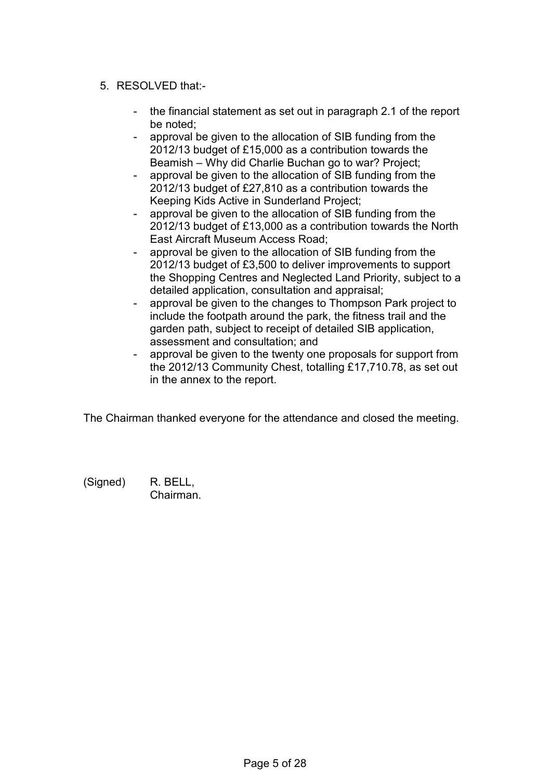# 5. RESOLVED that:-

- the financial statement as set out in paragraph 2.1 of the report be noted;
- approval be given to the allocation of SIB funding from the 2012/13 budget of £15,000 as a contribution towards the Beamish – Why did Charlie Buchan go to war? Project;
- approval be given to the allocation of SIB funding from the 2012/13 budget of £27,810 as a contribution towards the Keeping Kids Active in Sunderland Project;
- approval be given to the allocation of SIB funding from the 2012/13 budget of £13,000 as a contribution towards the North East Aircraft Museum Access Road;
- approval be given to the allocation of SIB funding from the 2012/13 budget of £3,500 to deliver improvements to support the Shopping Centres and Neglected Land Priority, subject to a detailed application, consultation and appraisal;
- approval be given to the changes to Thompson Park project to include the footpath around the park, the fitness trail and the garden path, subject to receipt of detailed SIB application, assessment and consultation; and
- approval be given to the twenty one proposals for support from the 2012/13 Community Chest, totalling £17,710.78, as set out in the annex to the report.

The Chairman thanked everyone for the attendance and closed the meeting.

(Signed) R. BELL, Chairman.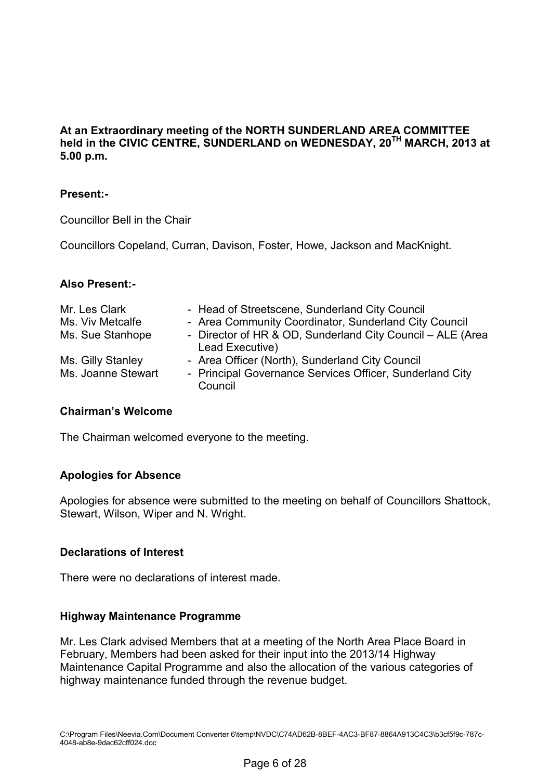**At an Extraordinary meeting of the NORTH SUNDERLAND AREA COMMITTEE held in the CIVIC CENTRE, SUNDERLAND on WEDNESDAY, 20TH MARCH, 2013 at 5.00 p.m.** 

# **Present:-**

Councillor Bell in the Chair

Councillors Copeland, Curran, Davison, Foster, Howe, Jackson and MacKnight.

## **Also Present:-**

| Mr. Les Clark      | - Head of Streetscene, Sunderland City Council                                |
|--------------------|-------------------------------------------------------------------------------|
| Ms. Viv Metcalfe   | - Area Community Coordinator, Sunderland City Council                         |
| Ms. Sue Stanhope   | - Director of HR & OD, Sunderland City Council – ALE (Area<br>Lead Executive) |
| Ms. Gilly Stanley  | - Area Officer (North), Sunderland City Council                               |
| Ms. Joanne Stewart | - Principal Governance Services Officer, Sunderland City<br>Council           |

## **Chairman's Welcome**

The Chairman welcomed everyone to the meeting.

## **Apologies for Absence**

Apologies for absence were submitted to the meeting on behalf of Councillors Shattock, Stewart, Wilson, Wiper and N. Wright.

# **Declarations of Interest**

There were no declarations of interest made.

## **Highway Maintenance Programme**

Mr. Les Clark advised Members that at a meeting of the North Area Place Board in February, Members had been asked for their input into the 2013/14 Highway Maintenance Capital Programme and also the allocation of the various categories of highway maintenance funded through the revenue budget.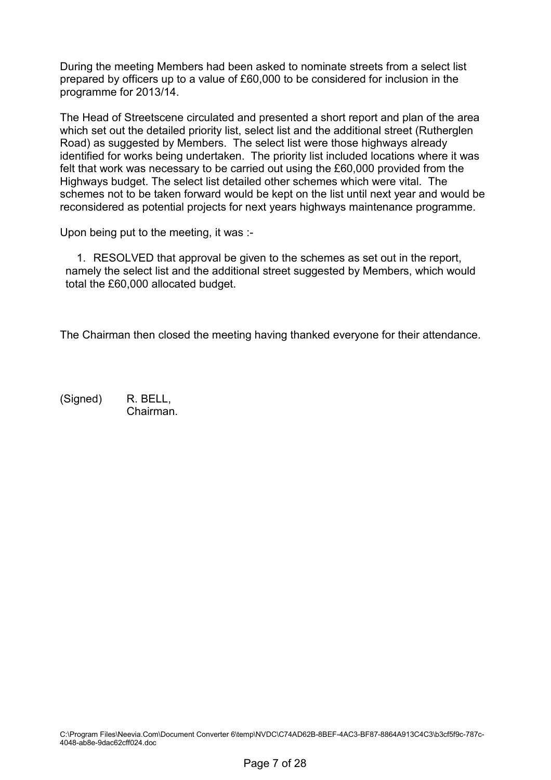During the meeting Members had been asked to nominate streets from a select list prepared by officers up to a value of £60,000 to be considered for inclusion in the programme for 2013/14.

The Head of Streetscene circulated and presented a short report and plan of the area which set out the detailed priority list, select list and the additional street (Rutherglen Road) as suggested by Members. The select list were those highways already identified for works being undertaken. The priority list included locations where it was felt that work was necessary to be carried out using the £60,000 provided from the Highways budget. The select list detailed other schemes which were vital. The schemes not to be taken forward would be kept on the list until next year and would be reconsidered as potential projects for next years highways maintenance programme.

Upon being put to the meeting, it was :-

1. RESOLVED that approval be given to the schemes as set out in the report, namely the select list and the additional street suggested by Members, which would total the £60,000 allocated budget.

The Chairman then closed the meeting having thanked everyone for their attendance.

(Signed) R. BELL, Chairman.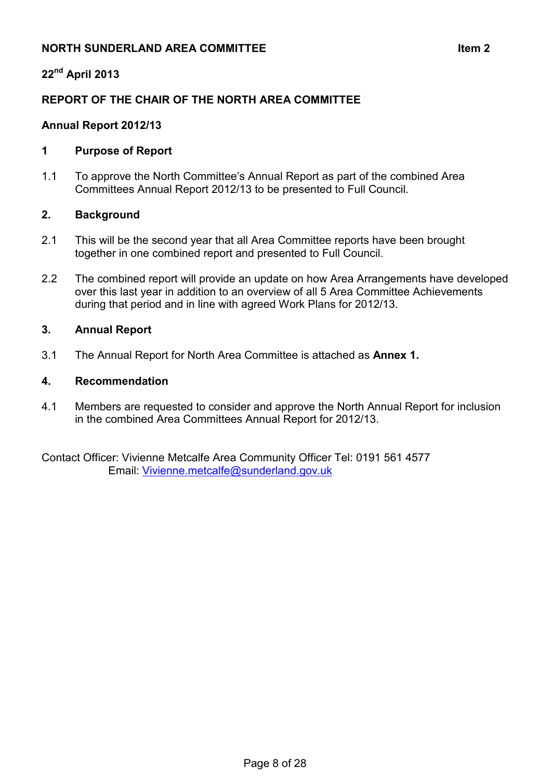# **NORTH SUNDERLAND AREA COMMITTEE Item 2**

# **22nd April 2013**

# **REPORT OF THE CHAIR OF THE NORTH AREA COMMITTEE**

# **Annual Report 2012/13**

# **1 Purpose of Report**

1.1 To approve the North Committee's Annual Report as part of the combined Area Committees Annual Report 2012/13 to be presented to Full Council.

## **2. Background**

- 2.1 This will be the second year that all Area Committee reports have been brought together in one combined report and presented to Full Council.
- 2.2 The combined report will provide an update on how Area Arrangements have developed over this last year in addition to an overview of all 5 Area Committee Achievements during that period and in line with agreed Work Plans for 2012/13.

## **3. Annual Report**

3.1 The Annual Report for North Area Committee is attached as **Annex 1.** 

## **4. Recommendation**

4.1 Members are requested to consider and approve the North Annual Report for inclusion in the combined Area Committees Annual Report for 2012/13.

Contact Officer: Vivienne Metcalfe Area Community Officer Tel: 0191 561 4577 Email: [Vivienne.metcalfe@sunderland.gov.uk](mailto:Vivienne.metcalfe@sunderland.gov.uk)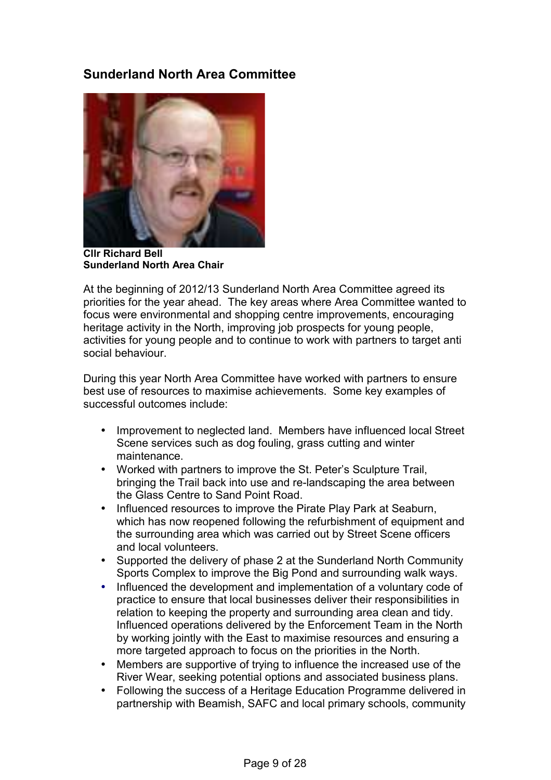# **Sunderland North Area Committee**



**Cllr Richard Bell Sunderland North Area Chair** 

At the beginning of 2012/13 Sunderland North Area Committee agreed its priorities for the year ahead. The key areas where Area Committee wanted to focus were environmental and shopping centre improvements, encouraging heritage activity in the North, improving job prospects for young people, activities for young people and to continue to work with partners to target anti social behaviour.

During this year North Area Committee have worked with partners to ensure best use of resources to maximise achievements. Some key examples of successful outcomes include:

- Improvement to neglected land. Members have influenced local Street Scene services such as dog fouling, grass cutting and winter maintenance.
- Worked with partners to improve the St. Peter's Sculpture Trail, bringing the Trail back into use and re-landscaping the area between the Glass Centre to Sand Point Road.
- Influenced resources to improve the Pirate Play Park at Seaburn, which has now reopened following the refurbishment of equipment and the surrounding area which was carried out by Street Scene officers and local volunteers.
- Supported the delivery of phase 2 at the Sunderland North Community Sports Complex to improve the Big Pond and surrounding walk ways.
- Influenced the development and implementation of a voluntary code of practice to ensure that local businesses deliver their responsibilities in relation to keeping the property and surrounding area clean and tidy. Influenced operations delivered by the Enforcement Team in the North by working jointly with the East to maximise resources and ensuring a more targeted approach to focus on the priorities in the North.
- Members are supportive of trying to influence the increased use of the River Wear, seeking potential options and associated business plans.
- Following the success of a Heritage Education Programme delivered in partnership with Beamish, SAFC and local primary schools, community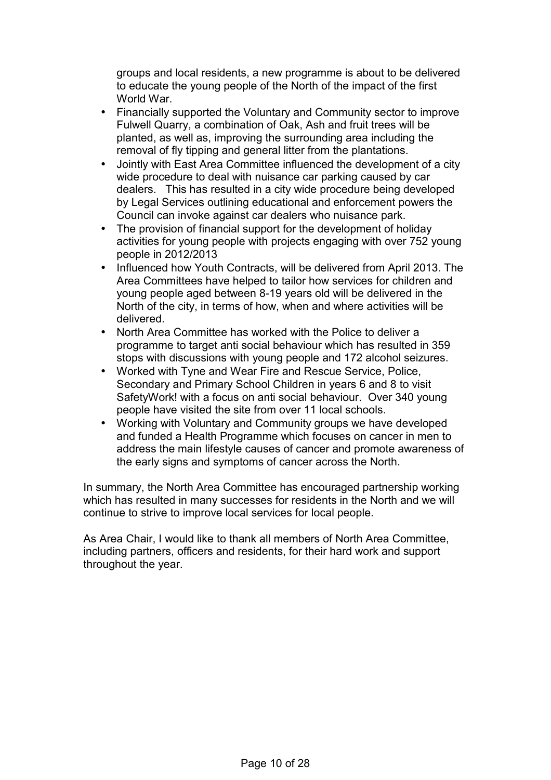groups and local residents, a new programme is about to be delivered to educate the young people of the North of the impact of the first World War.

- Financially supported the Voluntary and Community sector to improve Fulwell Quarry, a combination of Oak, Ash and fruit trees will be planted, as well as, improving the surrounding area including the removal of fly tipping and general litter from the plantations.
- Jointly with East Area Committee influenced the development of a city wide procedure to deal with nuisance car parking caused by car dealers. This has resulted in a city wide procedure being developed by Legal Services outlining educational and enforcement powers the Council can invoke against car dealers who nuisance park.
- The provision of financial support for the development of holiday activities for young people with projects engaging with over 752 young people in 2012/2013
- Influenced how Youth Contracts, will be delivered from April 2013. The Area Committees have helped to tailor how services for children and young people aged between 8-19 years old will be delivered in the North of the city, in terms of how, when and where activities will be delivered.
- North Area Committee has worked with the Police to deliver a programme to target anti social behaviour which has resulted in 359 stops with discussions with young people and 172 alcohol seizures.
- Worked with Tyne and Wear Fire and Rescue Service, Police, Secondary and Primary School Children in years 6 and 8 to visit SafetyWork! with a focus on anti social behaviour. Over 340 young people have visited the site from over 11 local schools.
- Working with Voluntary and Community groups we have developed and funded a Health Programme which focuses on cancer in men to address the main lifestyle causes of cancer and promote awareness of the early signs and symptoms of cancer across the North.

In summary, the North Area Committee has encouraged partnership working which has resulted in many successes for residents in the North and we will continue to strive to improve local services for local people.

As Area Chair, I would like to thank all members of North Area Committee, including partners, officers and residents, for their hard work and support throughout the year.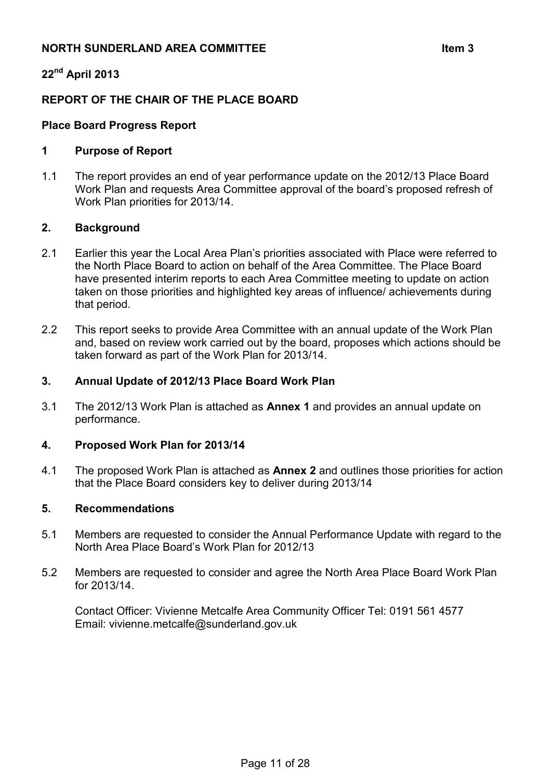# **NORTH SUNDERLAND AREA COMMITTEE**  $\qquad \qquad$  **ltem 3**

# **22nd April 2013**

# **REPORT OF THE CHAIR OF THE PLACE BOARD**

# **Place Board Progress Report**

#### **1 Purpose of Report**

1.1 The report provides an end of year performance update on the 2012/13 Place Board Work Plan and requests Area Committee approval of the board's proposed refresh of Work Plan priorities for 2013/14.

#### **2. Background**

- 2.1 Earlier this year the Local Area Plan's priorities associated with Place were referred to the North Place Board to action on behalf of the Area Committee. The Place Board have presented interim reports to each Area Committee meeting to update on action taken on those priorities and highlighted key areas of influence/ achievements during that period.
- 2.2 This report seeks to provide Area Committee with an annual update of the Work Plan and, based on review work carried out by the board, proposes which actions should be taken forward as part of the Work Plan for 2013/14.

#### **3. Annual Update of 2012/13 Place Board Work Plan**

3.1 The 2012/13 Work Plan is attached as **Annex 1** and provides an annual update on performance.

#### **4. Proposed Work Plan for 2013/14**

4.1 The proposed Work Plan is attached as **Annex 2** and outlines those priorities for action that the Place Board considers key to deliver during 2013/14

#### **5. Recommendations**

- 5.1 Members are requested to consider the Annual Performance Update with regard to the North Area Place Board's Work Plan for 2012/13
- 5.2 Members are requested to consider and agree the North Area Place Board Work Plan for 2013/14.

 Contact Officer: Vivienne Metcalfe Area Community Officer Tel: 0191 561 4577 Email: vivienne.metcalfe@sunderland.gov.uk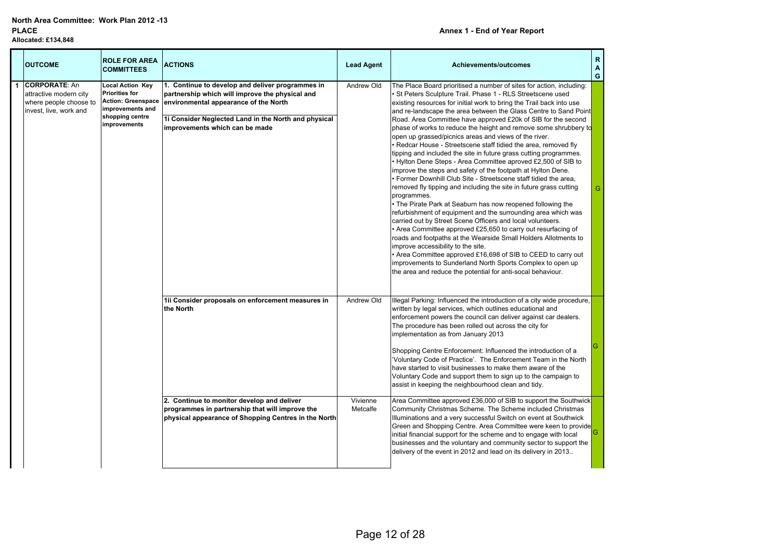#### **Annex 1 - End of Year Report**

| <b>OUTCOME</b>                                                                                     | <b>ROLE FOR AREA</b><br><b>COMMITTEES</b>                                                                                            | <b>ACTIONS</b>                                                                                                                                                                                                                         | <b>Lead Agent</b>    | Achievements/outcomes                                                                                                                                                                                                                                                                                                                                                                                                                                                                                                                                                                                                                                                                                                                                                                                                                                                                                                                                                                                                                                                                                                                                                                                                                                                                                                                                                                                                                                                     | R<br>A<br>G |
|----------------------------------------------------------------------------------------------------|--------------------------------------------------------------------------------------------------------------------------------------|----------------------------------------------------------------------------------------------------------------------------------------------------------------------------------------------------------------------------------------|----------------------|---------------------------------------------------------------------------------------------------------------------------------------------------------------------------------------------------------------------------------------------------------------------------------------------------------------------------------------------------------------------------------------------------------------------------------------------------------------------------------------------------------------------------------------------------------------------------------------------------------------------------------------------------------------------------------------------------------------------------------------------------------------------------------------------------------------------------------------------------------------------------------------------------------------------------------------------------------------------------------------------------------------------------------------------------------------------------------------------------------------------------------------------------------------------------------------------------------------------------------------------------------------------------------------------------------------------------------------------------------------------------------------------------------------------------------------------------------------------------|-------------|
| <b>CORPORATE: An</b><br>attractive modern city<br>where people choose to<br>invest, live, work and | <b>Local Action Key</b><br><b>Priorities for</b><br><b>Action: Greenspace</b><br>improvements and<br>shopping centre<br>improvements | 1. Continue to develop and deliver programmes in<br>partnership which will improve the physical and<br>environmental appearance of the North<br>1i Consider Neglected Land in the North and physical<br>improvements which can be made | Andrew Old           | The Place Board prioritised a number of sites for action, including:<br>St Peters Sculpture Trail. Phase 1 - RLS Streetscene used<br>existing resources for initial work to bring the Trail back into use<br>and re-landscape the area between the Glass Centre to Sand Point<br>Road. Area Committee have approved £20k of SIB for the second<br>phase of works to reduce the height and remove some shrubbery to<br>open up grassed/picnics areas and views of the river.<br>Redcar House - Streetscene staff tidied the area, removed fly<br>tipping and included the site in future grass cutting programmes.<br>Hylton Dene Steps - Area Committee aproved £2,500 of SIB to<br>improve the steps and safety of the footpath at Hylton Dene.<br>• Former Downhill Club Site - Streetscene staff tidied the area,<br>removed fly tipping and including the site in future grass cutting<br>programmes.<br>The Pirate Park at Seaburn has now reopened following the<br>refurbishment of equipment and the surrounding area which was<br>carried out by Street Scene Officers and local volunteers.<br>Area Committee approved £25,650 to carry out resurfacing of<br>roads and footpaths at the Wearside Small Holders Allotments to<br>improve accessibility to the site.<br>Area Committee approved £16,698 of SIB to CEED to carry out<br>improvements to Sunderland North Sports Complex to open up<br>the area and reduce the potential for anti-socal behaviour. | G           |
|                                                                                                    |                                                                                                                                      | 1ii Consider proposals on enforcement measures in<br>the North                                                                                                                                                                         | Andrew Old           | Illegal Parking: Influenced the introduction of a city wide procedure,<br>written by legal services, which outlines educational and<br>enforcement powers the council can deliver against car dealers.<br>The procedure has been rolled out across the city for<br>implementation as from January 2013<br>Shopping Centre Enforcement: Influenced the introduction of a<br>'Voluntary Code of Practice'. The Enforcement Team in the North<br>have started to visit businesses to make them aware of the<br>Voluntary Code and support them to sign up to the campaign to<br>assist in keeping the neighbourhood clean and tidy.                                                                                                                                                                                                                                                                                                                                                                                                                                                                                                                                                                                                                                                                                                                                                                                                                                          | G           |
|                                                                                                    |                                                                                                                                      | 2. Continue to monitor develop and deliver<br>programmes in partnership that will improve the<br>physical appearance of Shopping Centres in the North                                                                                  | Vivienne<br>Metcalfe | Area Committee approved £36,000 of SIB to support the Southwick<br>Community Christmas Scheme. The Scheme included Christmas<br>Illuminations and a very successful Switch on event at Southwick<br>Green and Shopping Centre. Area Committee were keen to provide<br>initial financial support for the scheme and to engage with local<br>businesses and the voluntary and community sector to support the<br>delivery of the event in 2012 and lead on its delivery in 2013                                                                                                                                                                                                                                                                                                                                                                                                                                                                                                                                                                                                                                                                                                                                                                                                                                                                                                                                                                                             | G           |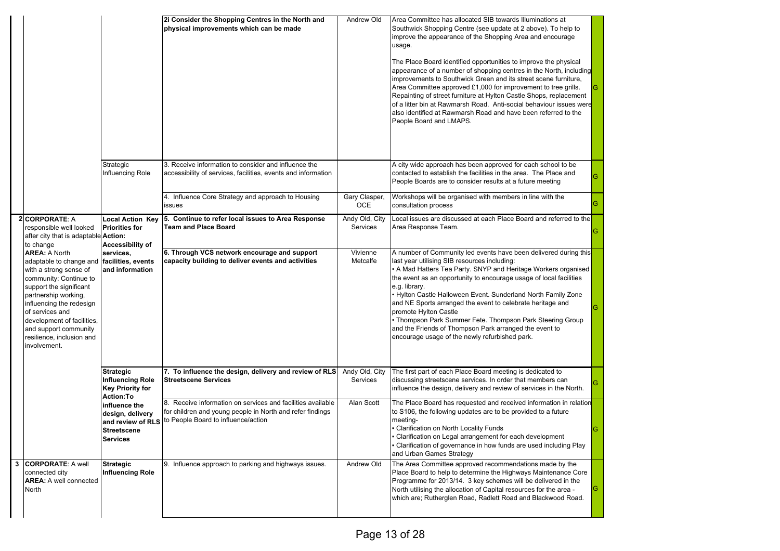|   |                                                                                                                                                                                                                                                                                                           |                                                                                            | 2i Consider the Shopping Centres in the North and<br>physical improvements which can be made                                                                    | Andrew Old                  | Area Committee has allocated SIB towards Illuminations at<br>Southwick Shopping Centre (see update at 2 above). To help to<br>improve the appearance of the Shopping Area and encourage<br>usage.<br>The Place Board identified opportunities to improve the physical<br>appearance of a number of shopping centres in the North, including<br>improvements to Southwick Green and its street scene furniture,<br>Area Committee approved £1,000 for improvement to tree grills.<br>Repainting of street furniture at Hylton Castle Shops, replacement<br>of a litter bin at Rawmarsh Road. Anti-social behaviour issues were<br>also identified at Rawmarsh Road and have been referred to the<br>People Board and LMAPS. |   |
|---|-----------------------------------------------------------------------------------------------------------------------------------------------------------------------------------------------------------------------------------------------------------------------------------------------------------|--------------------------------------------------------------------------------------------|-----------------------------------------------------------------------------------------------------------------------------------------------------------------|-----------------------------|----------------------------------------------------------------------------------------------------------------------------------------------------------------------------------------------------------------------------------------------------------------------------------------------------------------------------------------------------------------------------------------------------------------------------------------------------------------------------------------------------------------------------------------------------------------------------------------------------------------------------------------------------------------------------------------------------------------------------|---|
|   |                                                                                                                                                                                                                                                                                                           | Strategic<br>Influencing Role                                                              | 3. Receive information to consider and influence the<br>accessibility of services, facilities, events and information                                           |                             | A city wide approach has been approved for each school to be<br>contacted to establish the facilities in the area. The Place and<br>People Boards are to consider results at a future meeting                                                                                                                                                                                                                                                                                                                                                                                                                                                                                                                              | G |
|   |                                                                                                                                                                                                                                                                                                           |                                                                                            | 4. Influence Core Strategy and approach to Housing<br>issues                                                                                                    | Gary Clasper,<br><b>OCE</b> | Workshops will be organised with members in line with the<br>consultation process                                                                                                                                                                                                                                                                                                                                                                                                                                                                                                                                                                                                                                          | G |
|   | <b>2 CORPORATE: A</b><br>responsible well looked<br>after city that is adaptable <b>Action:</b><br>to change                                                                                                                                                                                              | <b>Local Action Key</b><br><b>Priorities for</b><br><b>Accessibility of</b>                | 5. Continue to refer local issues to Area Response<br><b>Team and Place Board</b>                                                                               | Andy Old, City<br>Services  | Local issues are discussed at each Place Board and referred to the<br>Area Response Team.                                                                                                                                                                                                                                                                                                                                                                                                                                                                                                                                                                                                                                  |   |
|   | <b>AREA: A North</b><br>adaptable to change and<br>with a strong sense of<br>community: Continue to<br>support the significant<br>partnership working,<br>influencing the redesign<br>of services and<br>development of facilities,<br>and support community<br>resilience, inclusion and<br>involvement. | services,<br>facilities, events<br>and information                                         | 6. Through VCS network encourage and support<br>capacity building to deliver events and activities                                                              | Vivienne<br>Metcalfe        | A number of Community led events have been delivered during this<br>last year utilising SIB resources including:<br>• A Mad Hatters Tea Party. SNYP and Heritage Workers organised<br>the event as an opportunity to encourage usage of local facilities<br>e.g. library.<br>• Hylton Castle Halloween Event. Sunderland North Family Zone<br>and NE Sports arranged the event to celebrate heritage and<br>promote Hylton Castle<br>• Thompson Park Summer Fete. Thompson Park Steering Group<br>and the Friends of Thompson Park arranged the event to<br>encourage usage of the newly refurbished park.                                                                                                                 |   |
|   |                                                                                                                                                                                                                                                                                                           | <b>Strategic</b><br><b>Influencing Role</b><br><b>Key Priority for</b><br><b>Action:To</b> | 7. To influence the design, delivery and review of RLS<br><b>Streetscene Services</b>                                                                           | Andy Old, City<br>Services  | The first part of each Place Board meeting is dedicated to<br>discussing streetscene services. In order that members can<br>influence the design, delivery and review of services in the North.                                                                                                                                                                                                                                                                                                                                                                                                                                                                                                                            |   |
|   |                                                                                                                                                                                                                                                                                                           | influence the<br>design, delivery<br>and review of RLS<br>Streetscene<br><b>Services</b>   | 8. Receive information on services and facilities available<br>for children and young people in North and refer findings<br>to People Board to influence/action | Alan Scott                  | The Place Board has requested and received information in relation<br>to S106, the following updates are to be provided to a future<br>meeting-<br>Clarification on North Locality Funds<br>Clarification on Legal arrangement for each development<br>Clarification of governance in how funds are used including Play<br>and Urban Games Strategy                                                                                                                                                                                                                                                                                                                                                                        |   |
| 3 | <b>CORPORATE: A well</b><br>connected city<br><b>AREA:</b> A well connected<br>North                                                                                                                                                                                                                      | <b>Strategic</b><br><b>Influencing Role</b>                                                | 9. Influence approach to parking and highways issues.                                                                                                           | Andrew Old                  | The Area Committee approved recommendations made by the<br>Place Board to help to determine the Highways Maintenance Core<br>Programme for 2013/14. 3 key schemes will be delivered in the<br>North utilising the allocation of Capital resources for the area -<br>which are; Rutherglen Road, Radlett Road and Blackwood Road.                                                                                                                                                                                                                                                                                                                                                                                           |   |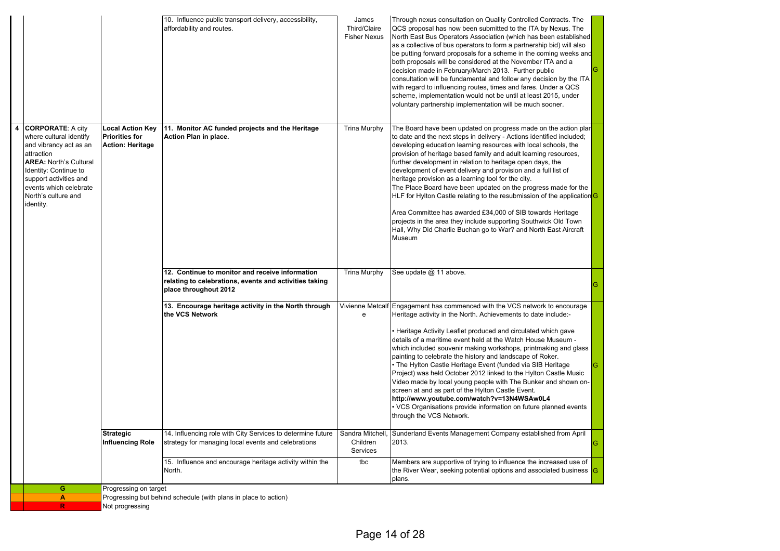|                                                                                                                                                                                                                                          |                                                                             | 10. Influence public transport delivery, accessibility,<br>affordability and routes.                                               | James<br>Third/Claire<br><b>Fisher Nexus</b> | Through nexus consultation on Quality Controlled Contracts. The<br>QCS proposal has now been submitted to the ITA by Nexus. The<br>North East Bus Operators Association (which has been established<br>as a collective of bus operators to form a partnership bid) will also<br>be putting forward proposals for a scheme in the coming weeks and<br>both proposals will be considered at the November ITA and a<br>decision made in February/March 2013. Further public<br>consultation will be fundamental and follow any decision by the ITA<br>with regard to influencing routes, times and fares. Under a QCS<br>scheme, implementation would not be until at least 2015, under<br>voluntary partnership implementation will be much sooner.                                                                                              |
|------------------------------------------------------------------------------------------------------------------------------------------------------------------------------------------------------------------------------------------|-----------------------------------------------------------------------------|------------------------------------------------------------------------------------------------------------------------------------|----------------------------------------------|------------------------------------------------------------------------------------------------------------------------------------------------------------------------------------------------------------------------------------------------------------------------------------------------------------------------------------------------------------------------------------------------------------------------------------------------------------------------------------------------------------------------------------------------------------------------------------------------------------------------------------------------------------------------------------------------------------------------------------------------------------------------------------------------------------------------------------------------|
| 4 CORPORATE: A city<br>where cultural identify<br>and vibrancy act as an<br>attraction<br><b>AREA: North's Cultural</b><br>Identity: Continue to<br>support activities and<br>events which celebrate<br>North's culture and<br>identity. | <b>Local Action Key</b><br><b>Priorities for</b><br><b>Action: Heritage</b> | 11. Monitor AC funded projects and the Heritage<br>Action Plan in place.                                                           | Trina Murphy                                 | The Board have been updated on progress made on the action plan<br>to date and the next steps in delivery - Actions identified included;<br>developing education learning resources with local schools, the<br>provision of heritage based family and adult learning resources,<br>further development in relation to heritage open days, the<br>development of event delivery and provision and a full list of<br>heritage provision as a learning tool for the city.<br>The Place Board have been updated on the progress made for the<br>HLF for Hylton Castle relating to the resubmission of the application <sup>I</sup> G<br>Area Committee has awarded £34,000 of SIB towards Heritage<br>projects in the area they include supporting Southwick Old Town<br>Hall, Why Did Charlie Buchan go to War? and North East Aircraft<br>Museum |
|                                                                                                                                                                                                                                          |                                                                             | 12. Continue to monitor and receive information<br>relating to celebrations, events and activities taking<br>place throughout 2012 | <b>Trina Murphy</b>                          | See update @ 11 above.                                                                                                                                                                                                                                                                                                                                                                                                                                                                                                                                                                                                                                                                                                                                                                                                                         |
|                                                                                                                                                                                                                                          |                                                                             | 13. Encourage heritage activity in the North through<br>the VCS Network                                                            | Vivienne Metcalf<br>e                        | Engagement has commenced with the VCS network to encourage<br>Heritage activity in the North. Achievements to date include:-<br>Heritage Activity Leaflet produced and circulated which gave<br>details of a maritime event held at the Watch House Museum -<br>which included souvenir making workshops, printmaking and glass<br>painting to celebrate the history and landscape of Roker.<br>• The Hylton Castle Heritage Event (funded via SIB Heritage<br>Project) was held October 2012 linked to the Hylton Castle Music<br>Video made by local young people with The Bunker and shown on-<br>screen at and as part of the Hylton Castle Event.<br>http://www.youtube.com/watch?v=13N4WSAw0L4<br>• VCS Organisations provide information on future planned events<br>through the VCS Network.                                           |
|                                                                                                                                                                                                                                          | <b>Strategic</b><br><b>Influencing Role</b>                                 | 14. Influencing role with City Services to determine future<br>strategy for managing local events and celebrations                 | Sandra Mitchell,<br>Children<br>Services     | Sunderland Events Management Company established from April<br>2013.<br>G                                                                                                                                                                                                                                                                                                                                                                                                                                                                                                                                                                                                                                                                                                                                                                      |
|                                                                                                                                                                                                                                          |                                                                             | 15. Influence and encourage heritage activity within the<br>North.                                                                 | tbc                                          | Members are supportive of trying to influence the increased use of<br>the River Wear, seeking potential options and associated business G<br>plans.                                                                                                                                                                                                                                                                                                                                                                                                                                                                                                                                                                                                                                                                                            |
| G                                                                                                                                                                                                                                        | Progressing on target                                                       |                                                                                                                                    |                                              |                                                                                                                                                                                                                                                                                                                                                                                                                                                                                                                                                                                                                                                                                                                                                                                                                                                |
| A                                                                                                                                                                                                                                        |                                                                             | Progressing but behind schedule (with plans in place to action)                                                                    |                                              |                                                                                                                                                                                                                                                                                                                                                                                                                                                                                                                                                                                                                                                                                                                                                                                                                                                |
|                                                                                                                                                                                                                                          |                                                                             |                                                                                                                                    |                                              |                                                                                                                                                                                                                                                                                                                                                                                                                                                                                                                                                                                                                                                                                                                                                                                                                                                |

**R**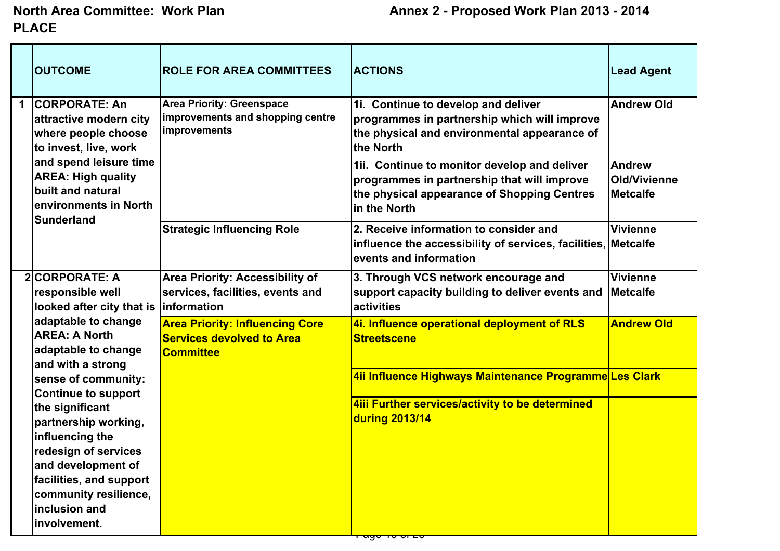|             | <b>OUTCOME</b>                                                                                                                      | <b>ROLE FOR AREA COMMITTEES</b>                                                                  | <b>ACTIONS</b>                                                                                                                                              | <b>Lead Agent</b>                                       |
|-------------|-------------------------------------------------------------------------------------------------------------------------------------|--------------------------------------------------------------------------------------------------|-------------------------------------------------------------------------------------------------------------------------------------------------------------|---------------------------------------------------------|
| $\mathbf 1$ | <b>CORPORATE: An</b><br>attractive modern city<br>where people choose<br>to invest, live, work                                      | <b>Area Priority: Greenspace</b><br>improvements and shopping centre<br>improvements             | 1i. Continue to develop and deliver<br>programmes in partnership which will improve<br>the physical and environmental appearance of<br>the North            | <b>Andrew Old</b>                                       |
|             | and spend leisure time<br><b>AREA: High quality</b><br>built and natural<br>environments in North<br>Sunderland                     |                                                                                                  | 1ii. Continue to monitor develop and deliver<br>programmes in partnership that will improve<br>the physical appearance of Shopping Centres<br>lin the North | <b>Andrew</b><br><b>Old/Vivienne</b><br><b>Metcalfe</b> |
|             |                                                                                                                                     | <b>Strategic Influencing Role</b>                                                                | 2. Receive information to consider and<br>influence the accessibility of services, facilities, Metcalfe<br>levents and information                          | <b>Vivienne</b>                                         |
|             | 2 CORPORATE: A<br>responsible well<br>looked after city that is                                                                     | Area Priority: Accessibility of<br>services, facilities, events and<br><i><b>Information</b></i> | 3. Through VCS network encourage and<br>support capacity building to deliver events and<br>activities                                                       | <b>Vivienne</b><br><b>Metcalfe</b>                      |
|             | adaptable to change<br><b>AREA: A North</b><br>adaptable to change                                                                  | <b>Area Priority: Influencing Core</b><br><b>Services devolved to Area</b><br><b>Committee</b>   | 4i. Influence operational deployment of RLS<br><b>Streetscene</b>                                                                                           | <b>Andrew Old</b>                                       |
|             | and with a strong<br>sense of community:<br><b>Continue to support</b>                                                              |                                                                                                  | 4ii Influence Highways Maintenance Programme Les Clark                                                                                                      |                                                         |
|             | the significant<br>partnership working,<br>influencing the<br>redesign of services<br>and development of<br>facilities, and support |                                                                                                  | 4iii Further services/activity to be determined<br>during 2013/14                                                                                           |                                                         |
|             | community resilience,<br>inclusion and<br>involvement.                                                                              |                                                                                                  |                                                                                                                                                             |                                                         |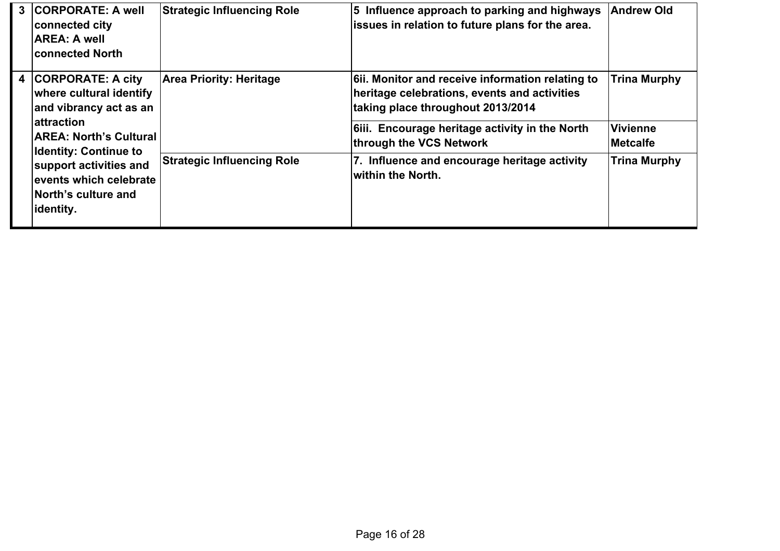| 3 | <b>CORPORATE: A well</b><br>connected city<br><b>AREA: A well</b><br><b>connected North</b>                                                                          | <b>Strategic Influencing Role</b> | 5 Influence approach to parking and highways<br>issues in relation to future plans for the area.                                    | <b>Andrew Old</b>                  |
|---|----------------------------------------------------------------------------------------------------------------------------------------------------------------------|-----------------------------------|-------------------------------------------------------------------------------------------------------------------------------------|------------------------------------|
| 4 | <b>CORPORATE: A city</b><br>where cultural identify<br>and vibrancy act as an                                                                                        | <b>Area Priority: Heritage</b>    | 6. Monitor and receive information relating to<br>heritage celebrations, events and activities<br>taking place throughout 2013/2014 | <b>Trina Murphy</b>                |
|   | lattraction<br><b>AREA: North's Cultural</b><br><b>Identity: Continue to</b><br>support activities and<br>events which celebrate<br>North's culture and<br>identity. |                                   | 6iii. Encourage heritage activity in the North<br>through the VCS Network                                                           | <b>Vivienne</b><br><b>Metcalfe</b> |
|   |                                                                                                                                                                      | <b>Strategic Influencing Role</b> | 7. Influence and encourage heritage activity<br>within the North.                                                                   | <b>Trina Murphy</b>                |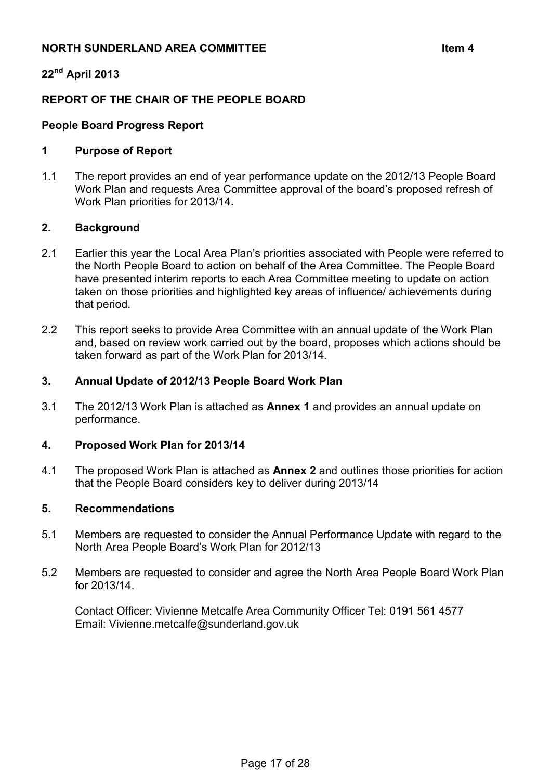# **NORTH SUNDERLAND AREA COMMITTEE**  $\qquad \qquad$  **ltem 4**

# **22nd April 2013**

# **REPORT OF THE CHAIR OF THE PEOPLE BOARD**

# **People Board Progress Report**

#### **1 Purpose of Report**

1.1 The report provides an end of year performance update on the 2012/13 People Board Work Plan and requests Area Committee approval of the board's proposed refresh of Work Plan priorities for 2013/14.

#### **2. Background**

- 2.1 Earlier this year the Local Area Plan's priorities associated with People were referred to the North People Board to action on behalf of the Area Committee. The People Board have presented interim reports to each Area Committee meeting to update on action taken on those priorities and highlighted key areas of influence/ achievements during that period.
- 2.2 This report seeks to provide Area Committee with an annual update of the Work Plan and, based on review work carried out by the board, proposes which actions should be taken forward as part of the Work Plan for 2013/14.

#### **3. Annual Update of 2012/13 People Board Work Plan**

3.1 The 2012/13 Work Plan is attached as **Annex 1** and provides an annual update on performance.

## **4. Proposed Work Plan for 2013/14**

4.1 The proposed Work Plan is attached as **Annex 2** and outlines those priorities for action that the People Board considers key to deliver during 2013/14

#### **5. Recommendations**

- 5.1 Members are requested to consider the Annual Performance Update with regard to the North Area People Board's Work Plan for 2012/13
- 5.2 Members are requested to consider and agree the North Area People Board Work Plan for 2013/14.

 Contact Officer: Vivienne Metcalfe Area Community Officer Tel: 0191 561 4577 Email: Vivienne.metcalfe@sunderland.gov.uk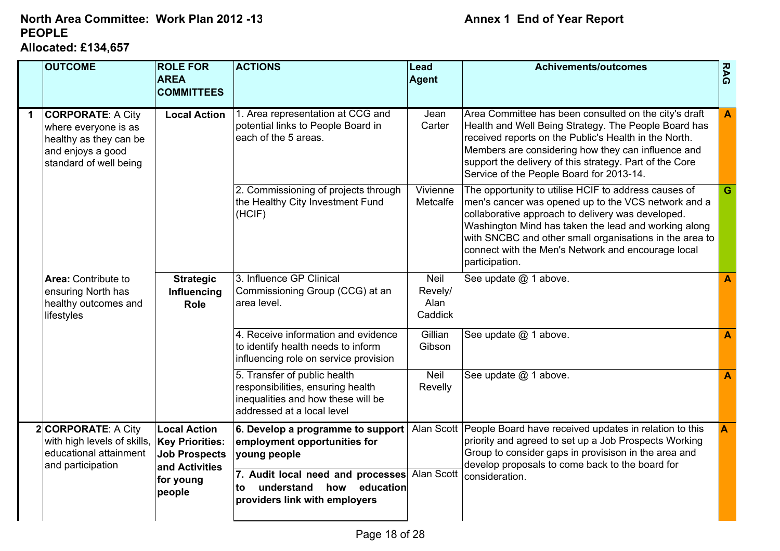# **PEOPLE Allocated: £134,657North Area Committee: Work Plan 2012 -13**

| <b>OUTCOME</b>                                                                                                            | <b>ROLE FOR</b><br><b>AREA</b><br><b>COMMITTEES</b>                                                            | <b>ACTIONS</b>                                                                                                                        | Lead<br>Agent                             | <b>Achivements/outcomes</b>                                                                                                                                                                                                                                                                                                                                 | <b>RAG</b>       |
|---------------------------------------------------------------------------------------------------------------------------|----------------------------------------------------------------------------------------------------------------|---------------------------------------------------------------------------------------------------------------------------------------|-------------------------------------------|-------------------------------------------------------------------------------------------------------------------------------------------------------------------------------------------------------------------------------------------------------------------------------------------------------------------------------------------------------------|------------------|
| <b>CORPORATE: A City</b><br>where everyone is as<br>healthy as they can be<br>and enjoys a good<br>standard of well being | <b>Local Action</b>                                                                                            | 1. Area representation at CCG and<br>potential links to People Board in<br>each of the 5 areas.                                       | Jean<br>Carter                            | Area Committee has been consulted on the city's draft<br>Health and Well Being Strategy. The People Board has<br>received reports on the Public's Health in the North.<br>Members are considering how they can influence and<br>support the delivery of this strategy. Part of the Core<br>Service of the People Board for 2013-14.                         | $\mathbf{A}$     |
|                                                                                                                           |                                                                                                                | 2. Commissioning of projects through<br>the Healthy City Investment Fund<br>(HCIF)                                                    | Vivienne<br>Metcalfe                      | The opportunity to utilise HCIF to address causes of<br>men's cancer was opened up to the VCS network and a<br>collaborative approach to delivery was developed.<br>Washington Mind has taken the lead and working along<br>with SNCBC and other small organisations in the area to<br>connect with the Men's Network and encourage local<br>participation. | $\mathbf G$      |
| Area: Contribute to<br>ensuring North has<br>healthy outcomes and<br>lifestyles                                           | <b>Strategic</b><br>Influencing<br>Role                                                                        | 3. Influence GP Clinical<br>Commissioning Group (CCG) at an<br>area level.                                                            | <b>Neil</b><br>Revely/<br>Alan<br>Caddick | See update @ 1 above.                                                                                                                                                                                                                                                                                                                                       | A                |
|                                                                                                                           |                                                                                                                | 4. Receive information and evidence<br>to identify health needs to inform<br>influencing role on service provision                    | Gillian<br>Gibson                         | See update @ 1 above.                                                                                                                                                                                                                                                                                                                                       | $\mathbf{A}$     |
|                                                                                                                           |                                                                                                                | 5. Transfer of public health<br>responsibilities, ensuring health<br>inequalities and how these will be<br>addressed at a local level | <b>Neil</b><br>Revelly                    | See update @ 1 above.                                                                                                                                                                                                                                                                                                                                       | $\blacktriangle$ |
| 2 CORPORATE: A City<br>with high levels of skills,<br>educational attainment<br>and participation                         | <b>Local Action</b><br><b>Key Priorities:</b><br><b>Job Prospects</b><br>and Activities<br>for young<br>people | 6. Develop a programme to support<br>employment opportunities for<br>young people                                                     |                                           | Alan Scott People Board have received updates in relation to this<br>priority and agreed to set up a Job Prospects Working<br>Group to consider gaps in provisison in the area and<br>develop proposals to come back to the board for                                                                                                                       | A                |
|                                                                                                                           |                                                                                                                | 7. Audit local need and processes Alan Scott<br>understand how education<br>tο<br>providers link with employers                       |                                           | consideration.                                                                                                                                                                                                                                                                                                                                              |                  |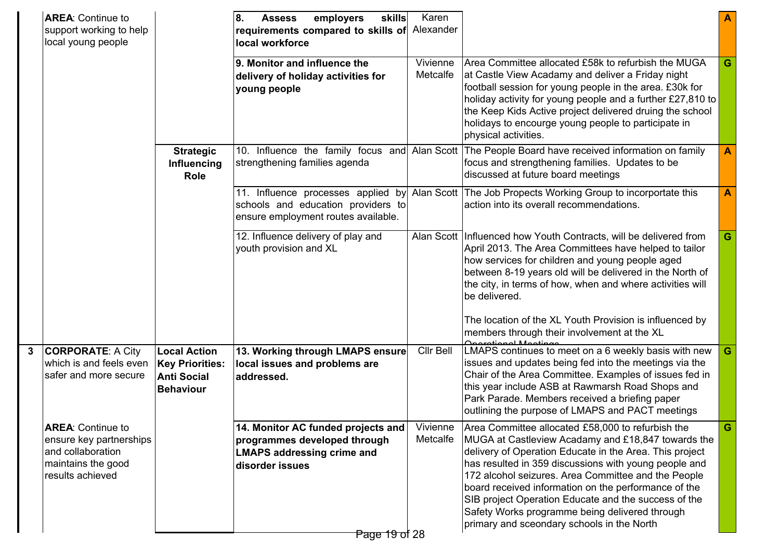|              | <b>AREA: Continue to</b><br>support working to help<br>local young people                                          |                                                                                         | 8.<br>employers<br>skills<br><b>Assess</b><br>requirements compared to skills of Alexander<br>local workforce<br>9. Monitor and influence the | Karen<br>Vivienne    | Area Committee allocated £58k to refurbish the MUGA                                                                                                                                                                                                                                                                                                                                                                                                                                                |   |
|--------------|--------------------------------------------------------------------------------------------------------------------|-----------------------------------------------------------------------------------------|-----------------------------------------------------------------------------------------------------------------------------------------------|----------------------|----------------------------------------------------------------------------------------------------------------------------------------------------------------------------------------------------------------------------------------------------------------------------------------------------------------------------------------------------------------------------------------------------------------------------------------------------------------------------------------------------|---|
|              |                                                                                                                    |                                                                                         | delivery of holiday activities for<br>young people                                                                                            | Metcalfe             | at Castle View Acadamy and deliver a Friday night<br>football session for young people in the area. £30k for<br>holiday activity for young people and a further £27,810 to<br>the Keep Kids Active project delivered druing the school<br>holidays to encourge young people to participate in<br>physical activities.                                                                                                                                                                              | G |
|              |                                                                                                                    | <b>Strategic</b><br>Influencing<br>Role                                                 | 10. Influence the family focus and Alan Scott<br>strengthening families agenda                                                                |                      | The People Board have received information on family<br>focus and strengthening families. Updates to be<br>discussed at future board meetings                                                                                                                                                                                                                                                                                                                                                      | A |
|              |                                                                                                                    |                                                                                         | 11. Influence processes applied by<br>schools and education providers to<br>ensure employment routes available.                               |                      | Alan Scott   The Job Propects Working Group to incorportate this<br>action into its overall recommendations.                                                                                                                                                                                                                                                                                                                                                                                       | A |
|              |                                                                                                                    |                                                                                         | 12. Influence delivery of play and<br>youth provision and XL                                                                                  |                      | Alan Scott   Influenced how Youth Contracts, will be delivered from<br>April 2013. The Area Committees have helped to tailor<br>how services for children and young people aged<br>between 8-19 years old will be delivered in the North of<br>the city, in terms of how, when and where activities will<br>be delivered.                                                                                                                                                                          | G |
|              |                                                                                                                    |                                                                                         |                                                                                                                                               |                      | The location of the XL Youth Provision is influenced by<br>members through their involvement at the XL                                                                                                                                                                                                                                                                                                                                                                                             |   |
| $\mathbf{3}$ | <b>CORPORATE: A City</b><br>which is and feels even<br>safer and more secure                                       | <b>Local Action</b><br><b>Key Priorities:</b><br><b>Anti Social</b><br><b>Behaviour</b> | 13. Working through LMAPS ensure<br>local issues and problems are<br>addressed.                                                               | Cllr Bell            | Descriptional Montings<br> LMAPS continues to meet on a 6 weekly basis with new<br>issues and updates being fed into the meetings via the<br>Chair of the Area Committee. Examples of issues fed in<br>this year include ASB at Rawmarsh Road Shops and<br>Park Parade. Members received a briefing paper<br>outlining the purpose of LMAPS and PACT meetings                                                                                                                                      | G |
|              | <b>AREA:</b> Continue to<br>ensure key partnerships<br>and collaboration<br>maintains the good<br>results achieved |                                                                                         | 14. Monitor AC funded projects and<br>programmes developed through<br><b>LMAPS addressing crime and</b><br>disorder issues<br>Page 19 of 28   | Vivienne<br>Metcalfe | Area Committee allocated £58,000 to refurbish the<br>MUGA at Castleview Acadamy and £18,847 towards the<br>delivery of Operation Educate in the Area. This project<br>has resulted in 359 discussions with young people and<br>172 alcohol seizures. Area Committee and the People<br>board received information on the performance of the<br>SIB project Operation Educate and the success of the<br>Safety Works programme being delivered through<br>primary and sceondary schools in the North | G |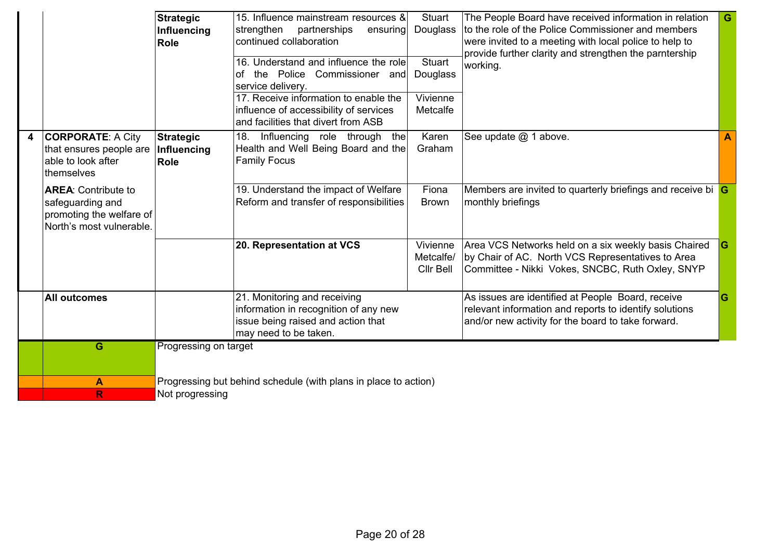|   |                                                                                                        | <b>Strategic</b><br>Influencing<br><b>Role</b> | 15. Influence mainstream resources &<br>partnerships<br>strengthen<br>ensuring<br>continued collaboration<br>16. Understand and influence the role<br>the Police Commissioner and<br>of<br>service delivery.<br>17. Receive information to enable the<br>influence of accessibility of services<br>and facilities that divert from ASB | <b>Stuart</b><br>Douglass<br><b>Stuart</b><br>Douglass<br>Vivienne<br>Metcalfe | The People Board have received information in relation<br>to the role of the Police Commissioner and members<br>were invited to a meeting with local police to help to<br>provide further clarity and strengthen the parntership<br>working. | G |
|---|--------------------------------------------------------------------------------------------------------|------------------------------------------------|----------------------------------------------------------------------------------------------------------------------------------------------------------------------------------------------------------------------------------------------------------------------------------------------------------------------------------------|--------------------------------------------------------------------------------|----------------------------------------------------------------------------------------------------------------------------------------------------------------------------------------------------------------------------------------------|---|
| 4 | <b>CORPORATE: A City</b><br>that ensures people are<br>able to look after<br>themselves                | <b>Strategic</b><br>Influencing<br><b>Role</b> | Influencing role through the<br>18.<br>Health and Well Being Board and the<br><b>Family Focus</b>                                                                                                                                                                                                                                      | Karen<br>Graham                                                                | See update @ 1 above.                                                                                                                                                                                                                        |   |
|   | <b>AREA: Contribute to</b><br>safeguarding and<br>promoting the welfare of<br>North's most vulnerable. |                                                | 19. Understand the impact of Welfare<br>Reform and transfer of responsibilities                                                                                                                                                                                                                                                        | Fiona<br><b>Brown</b>                                                          | Members are invited to quarterly briefings and receive bi G<br>monthly briefings                                                                                                                                                             |   |
|   |                                                                                                        |                                                | 20. Representation at VCS                                                                                                                                                                                                                                                                                                              | Vivienne<br>Metcalfe/<br>Cllr Bell                                             | Area VCS Networks held on a six weekly basis Chaired<br>by Chair of AC. North VCS Representatives to Area<br>Committee - Nikki Vokes, SNCBC, Ruth Oxley, SNYP                                                                                |   |
|   | <b>All outcomes</b>                                                                                    |                                                | 21. Monitoring and receiving<br>information in recognition of any new<br>issue being raised and action that<br>may need to be taken.                                                                                                                                                                                                   |                                                                                | As issues are identified at People Board, receive<br>relevant information and reports to identify solutions<br>and/or new activity for the board to take forward.                                                                            |   |
|   | G                                                                                                      | Progressing on target                          |                                                                                                                                                                                                                                                                                                                                        |                                                                                |                                                                                                                                                                                                                                              |   |
|   | $\blacktriangle$<br>R                                                                                  | Not progressing                                | Progressing but behind schedule (with plans in place to action)                                                                                                                                                                                                                                                                        |                                                                                |                                                                                                                                                                                                                                              |   |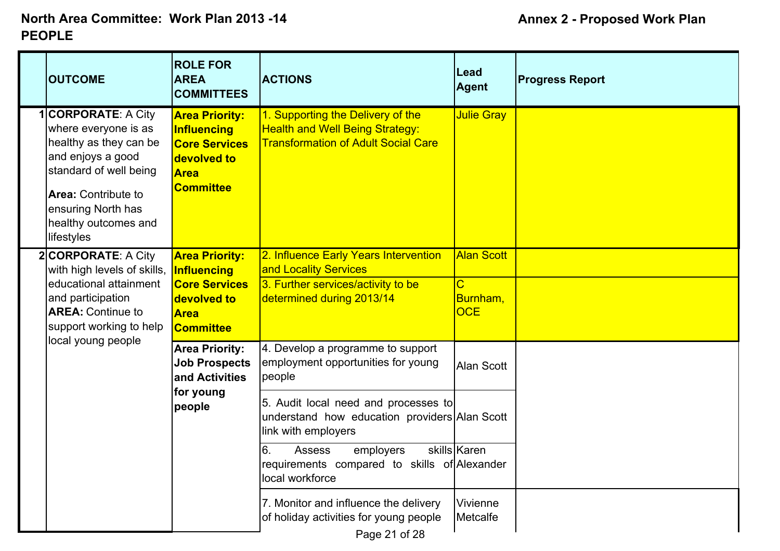|  | <b>OUTCOME</b>                                                                                                                                                                                                      | <b>ROLE FOR</b><br><b>AREA</b><br><b>COMMITTEES</b>                                                                   | <b>ACTIONS</b>                                                                                                                    | Lead<br><b>Agent</b>                                                 | <b>Progress Report</b> |
|--|---------------------------------------------------------------------------------------------------------------------------------------------------------------------------------------------------------------------|-----------------------------------------------------------------------------------------------------------------------|-----------------------------------------------------------------------------------------------------------------------------------|----------------------------------------------------------------------|------------------------|
|  | <b>CORPORATE: A City</b><br>where everyone is as<br>healthy as they can be<br>and enjoys a good<br>standard of well being<br><b>Area: Contribute to</b><br>ensuring North has<br>healthy outcomes and<br>lifestyles | <b>Area Priority:</b><br><b>Influencing</b><br><b>Core Services</b><br>devolved to<br><b>Area</b><br><b>Committee</b> | 1. Supporting the Delivery of the<br><b>Health and Well Being Strategy:</b><br><b>Transformation of Adult Social Care</b>         | Julie Gray                                                           |                        |
|  | 2 CORPORATE: A City<br>with high levels of skills,<br>educational attainment<br>and participation<br><b>AREA: Continue to</b><br>support working to help<br>local young people                                      | <b>Area Priority:</b><br>Influencing<br><b>Core Services</b><br>devolved to<br><b>Area</b><br><b>Committee</b>        | 2. Influence Early Years Intervention<br>and Locality Services<br>3. Further services/activity to be<br>determined during 2013/14 | <b>Alan Scott</b><br>$\overline{\text{C}}$<br>Burnham,<br><b>OCE</b> |                        |
|  |                                                                                                                                                                                                                     | <b>Area Priority:</b><br><b>Job Prospects</b><br>and Activities<br>for young<br>people                                | 4. Develop a programme to support<br>employment opportunities for young<br>people                                                 | Alan Scott                                                           |                        |
|  |                                                                                                                                                                                                                     |                                                                                                                       | 5. Audit local need and processes to<br>understand how education providers Alan Scott<br>link with employers                      |                                                                      |                        |
|  |                                                                                                                                                                                                                     |                                                                                                                       | 6.<br><b>Assess</b><br>employers<br>requirements compared to skills of Alexander<br>local workforce                               | skills Karen                                                         |                        |
|  |                                                                                                                                                                                                                     |                                                                                                                       | 7. Monitor and influence the delivery<br>of holiday activities for young people<br>Page 21 of 28                                  | Vivienne<br>Metcalfe                                                 |                        |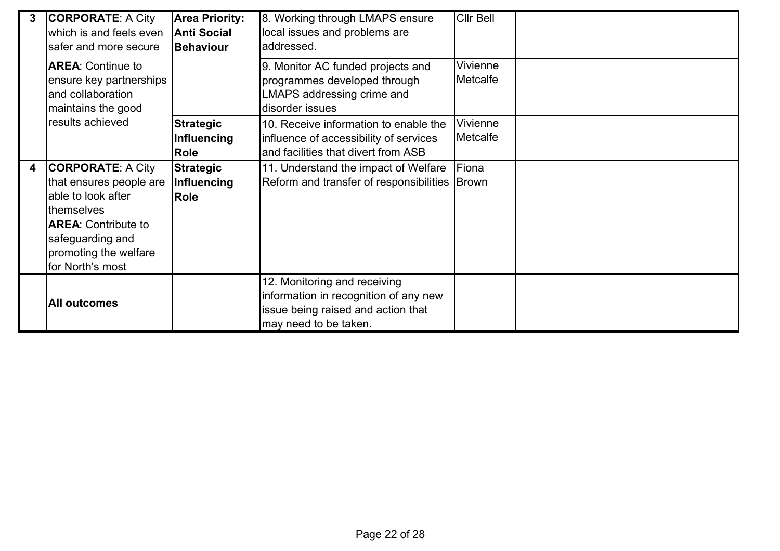| 3 | <b>CORPORATE: A City</b><br>which is and feels even<br>safer and more secure                                                                                                           | <b>Area Priority:</b><br><b>Anti Social</b><br><b>Behaviour</b> | 8. Working through LMAPS ensure<br>local issues and problems are<br>addressed.                                                       | <b>Cllr Bell</b>     |  |
|---|----------------------------------------------------------------------------------------------------------------------------------------------------------------------------------------|-----------------------------------------------------------------|--------------------------------------------------------------------------------------------------------------------------------------|----------------------|--|
|   | <b>AREA: Continue to</b><br>ensure key partnerships<br>and collaboration<br>maintains the good<br>results achieved                                                                     |                                                                 | 9. Monitor AC funded projects and<br>programmes developed through<br>LMAPS addressing crime and<br>disorder issues                   | Vivienne<br>Metcalfe |  |
|   |                                                                                                                                                                                        | <b>Strategic</b><br><b>Influencing</b><br>Role                  | 10. Receive information to enable the<br>influence of accessibility of services<br>and facilities that divert from ASB               | Vivienne<br>Metcalfe |  |
| 4 | <b>CORPORATE: A City</b><br>that ensures people are<br>able to look after<br>themselves<br><b>AREA: Contribute to</b><br>safeguarding and<br>promoting the welfare<br>for North's most | <b>Strategic</b><br>Influencing<br>Role                         | 11. Understand the impact of Welfare<br>Reform and transfer of responsibilities Brown                                                | Fiona                |  |
|   | <b>All outcomes</b>                                                                                                                                                                    |                                                                 | 12. Monitoring and receiving<br>information in recognition of any new<br>issue being raised and action that<br>may need to be taken. |                      |  |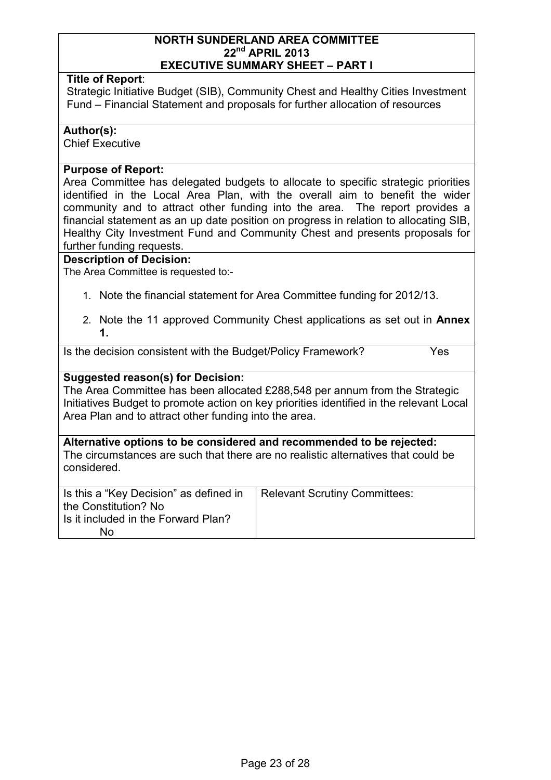#### **NORTH SUNDERLAND AREA COMMITTEE 22nd APRIL 2013 EXECUTIVE SUMMARY SHEET – PART I**

#### **Title of Report**:

Strategic Initiative Budget (SIB), Community Chest and Healthy Cities Investment Fund – Financial Statement and proposals for further allocation of resources

#### **Author(s):**

Chief Executive

#### **Purpose of Report:**

Area Committee has delegated budgets to allocate to specific strategic priorities identified in the Local Area Plan, with the overall aim to benefit the wider community and to attract other funding into the area. The report provides a financial statement as an up date position on progress in relation to allocating SIB, Healthy City Investment Fund and Community Chest and presents proposals for further funding requests.

#### **Description of Decision:**

The Area Committee is requested to:-

- 1. Note the financial statement for Area Committee funding for 2012/13.
- 2. Note the 11 approved Community Chest applications as set out in **Annex 1.**

Is the decision consistent with the Budget/Policy Framework? Yes

#### **Suggested reason(s) for Decision:**

The Area Committee has been allocated £288,548 per annum from the Strategic Initiatives Budget to promote action on key priorities identified in the relevant Local Area Plan and to attract other funding into the area.

**Alternative options to be considered and recommended to be rejected:**  The circumstances are such that there are no realistic alternatives that could be considered.

| Is this a "Key Decision" as defined in | Relevant Scrutiny Committees: |
|----------------------------------------|-------------------------------|
| the Constitution? No                   |                               |
| Is it included in the Forward Plan?    |                               |
| No                                     |                               |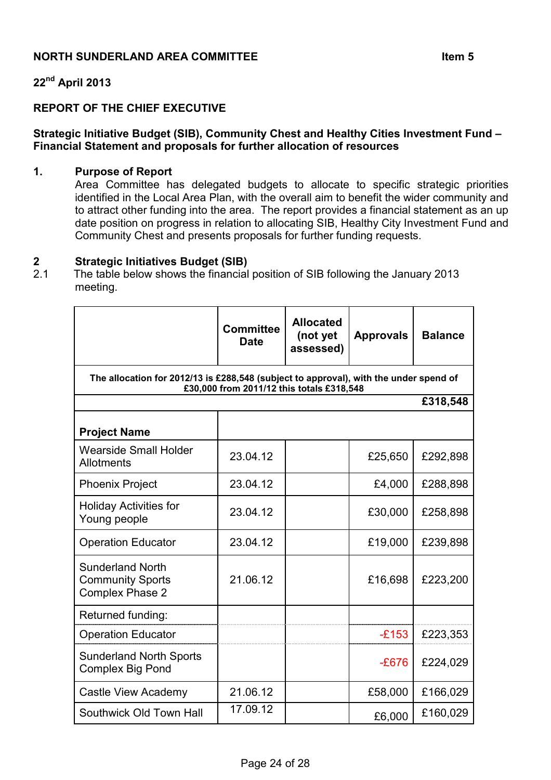# **NORTH SUNDERLAND AREA COMMITTEE ITEM ITEM ITEM ITEM ITEM 5**

# **22nd April 2013**

## **REPORT OF THE CHIEF EXECUTIVE**

#### **Strategic Initiative Budget (SIB), Community Chest and Healthy Cities Investment Fund – Financial Statement and proposals for further allocation of resources**

#### **1. Purpose of Report**

Area Committee has delegated budgets to allocate to specific strategic priorities identified in the Local Area Plan, with the overall aim to benefit the wider community and to attract other funding into the area. The report provides a financial statement as an up date position on progress in relation to allocating SIB, Healthy City Investment Fund and Community Chest and presents proposals for further funding requests.

# **2 Strategic Initiatives Budget (SIB)**

2.1 The table below shows the financial position of SIB following the January 2013 meeting.

|                                                                                       | <b>Committee</b><br><b>Date</b>           | <b>Allocated</b><br>(not yet<br>assessed) | <b>Approvals</b> | <b>Balance</b> |
|---------------------------------------------------------------------------------------|-------------------------------------------|-------------------------------------------|------------------|----------------|
| The allocation for 2012/13 is £288,548 (subject to approval), with the under spend of | £30,000 from 2011/12 this totals £318,548 |                                           |                  |                |
|                                                                                       |                                           |                                           |                  | £318,548       |
| <b>Project Name</b>                                                                   |                                           |                                           |                  |                |
| <b>Wearside Small Holder</b><br>Allotments                                            | 23.04.12                                  |                                           | £25,650          | £292,898       |
| <b>Phoenix Project</b>                                                                | 23.04.12                                  |                                           | £4,000           | £288,898       |
| <b>Holiday Activities for</b><br>Young people                                         | 23.04.12                                  |                                           | £30,000          | £258,898       |
| <b>Operation Educator</b>                                                             | 23.04.12                                  |                                           | £19,000          | £239,898       |
| <b>Sunderland North</b><br><b>Community Sports</b><br><b>Complex Phase 2</b>          | 21.06.12                                  |                                           | £16,698          | £223,200       |
| Returned funding:                                                                     |                                           |                                           |                  |                |
| <b>Operation Educator</b>                                                             |                                           |                                           | $-£153$          | £223,353       |
| <b>Sunderland North Sports</b><br><b>Complex Big Pond</b>                             |                                           |                                           | $-E676$          | £224,029       |
| Castle View Academy                                                                   | 21.06.12                                  |                                           | £58,000          | £166,029       |
| Southwick Old Town Hall                                                               | 17.09.12                                  |                                           | £6,000           | £160,029       |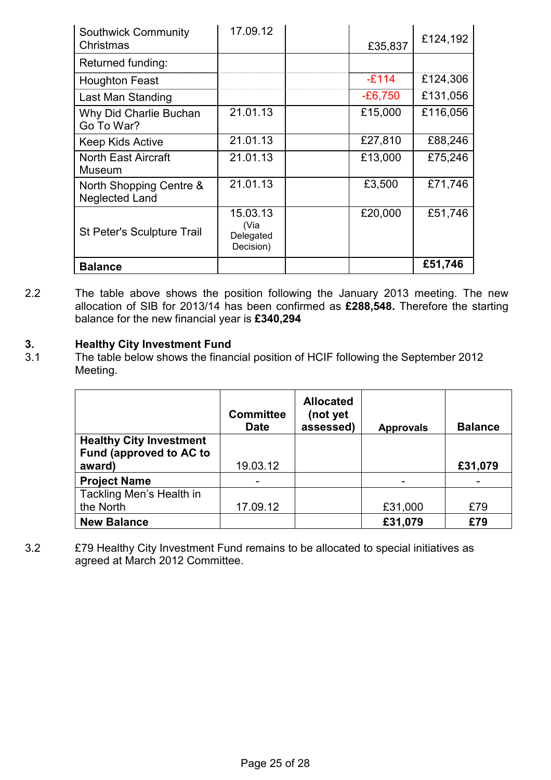| <b>Southwick Community</b><br>Christmas          | 17.09.12                                   | £35,837   | £124,192 |
|--------------------------------------------------|--------------------------------------------|-----------|----------|
| Returned funding:                                |                                            |           |          |
| <b>Houghton Feast</b>                            |                                            | $-E114$   | £124,306 |
| Last Man Standing                                |                                            | $-£6,750$ | £131,056 |
| Why Did Charlie Buchan<br>Go To War?             | 21.01.13                                   | £15,000   | £116,056 |
| <b>Keep Kids Active</b>                          | 21.01.13                                   | £27,810   | £88,246  |
| <b>North East Aircraft</b><br>Museum             | 21.01.13                                   | £13,000   | £75,246  |
| North Shopping Centre &<br><b>Neglected Land</b> | 21.01.13                                   | £3,500    | £71,746  |
| <b>St Peter's Sculpture Trail</b>                | 15.03.13<br>(Via<br>Delegated<br>Decision) | £20,000   | £51,746  |
| <b>Balance</b>                                   |                                            |           | £51,746  |

2.2 The table above shows the position following the January 2013 meeting. The new allocation of SIB for 2013/14 has been confirmed as **£288,548.** Therefore the starting balance for the new financial year is **£340,294**

## **3. Healthy City Investment Fund**

3.1 The table below shows the financial position of HCIF following the September 2012 Meeting.

|                                | <b>Committee</b><br><b>Date</b> | <b>Allocated</b><br>(not yet<br>assessed) | <b>Approvals</b> | <b>Balance</b> |
|--------------------------------|---------------------------------|-------------------------------------------|------------------|----------------|
| <b>Healthy City Investment</b> |                                 |                                           |                  |                |
| Fund (approved to AC to        |                                 |                                           |                  |                |
| award)                         | 19.03.12                        |                                           |                  | £31,079        |
| <b>Project Name</b>            |                                 |                                           |                  |                |
| Tackling Men's Health in       |                                 |                                           |                  |                |
| the North                      | 17.09.12                        |                                           | £31,000          | £79            |
| <b>New Balance</b>             |                                 |                                           | £31,079          | £79            |

3.2 £79 Healthy City Investment Fund remains to be allocated to special initiatives as agreed at March 2012 Committee.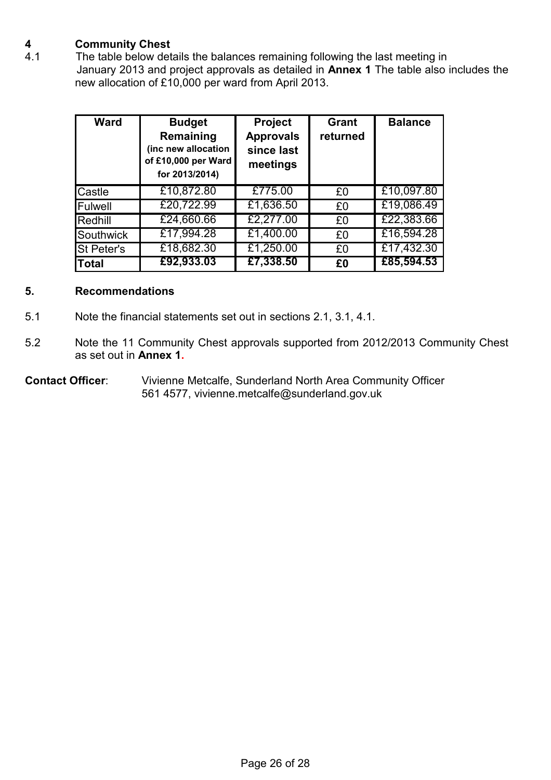# **4 Community Chest**

The table below details the balances remaining following the last meeting in January 2013 and project approvals as detailed in **Annex 1** The table also includes the new allocation of £10,000 per ward from April 2013.

| <b>Ward</b>       | <b>Budget</b><br>Remaining<br>(inc new allocation<br>of £10,000 per Ward<br>for 2013/2014) | <b>Project</b><br><b>Approvals</b><br>since last<br>meetings | <b>Grant</b><br>returned | <b>Balance</b> |
|-------------------|--------------------------------------------------------------------------------------------|--------------------------------------------------------------|--------------------------|----------------|
| Castle            | £10,872.80                                                                                 | £775.00                                                      | £0                       | £10,097.80     |
| Fulwell           | £20,722.99                                                                                 | £1,636.50                                                    | £0                       | £19,086.49     |
| Redhill           | £24,660.66                                                                                 | £2,277.00                                                    | £0                       | £22,383.66     |
| Southwick         | £17,994.28                                                                                 | £1,400.00                                                    | £0                       | £16,594.28     |
| <b>St Peter's</b> | £18,682.30                                                                                 | £1,250.00                                                    | £0                       | £17,432.30     |
| <b>Total</b>      | £92,933.03                                                                                 | £7,338.50                                                    | £0                       | £85,594.53     |

#### **5. Recommendations**

- 5.1 Note the financial statements set out in sections 2.1, 3.1, 4.1.
- 5.2 Note the 11 Community Chest approvals supported from 2012/2013 Community Chest as set out in **Annex 1.**

**Contact Officer**: Vivienne Metcalfe, Sunderland North Area Community Officer 561 4577, vivienne.metcalfe@sunderland.gov.uk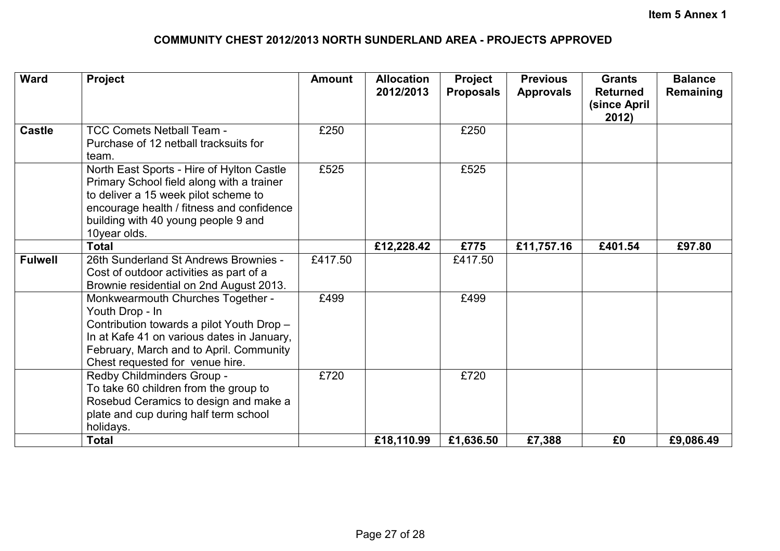# **COMMUNITY CHEST 2012/2013 NORTH SUNDERLAND AREA - PROJECTS APPROVED**

| <b>Ward</b>    | Project                                                                                                                                                                                                                            | <b>Amount</b> | <b>Allocation</b><br>2012/2013 | Project<br><b>Proposals</b> | <b>Previous</b><br><b>Approvals</b> | <b>Grants</b><br><b>Returned</b><br>(since April<br>2012) | <b>Balance</b><br>Remaining |
|----------------|------------------------------------------------------------------------------------------------------------------------------------------------------------------------------------------------------------------------------------|---------------|--------------------------------|-----------------------------|-------------------------------------|-----------------------------------------------------------|-----------------------------|
| <b>Castle</b>  | <b>TCC Comets Netball Team -</b><br>Purchase of 12 netball tracksuits for<br>team.                                                                                                                                                 | £250          |                                | £250                        |                                     |                                                           |                             |
|                | North East Sports - Hire of Hylton Castle<br>Primary School field along with a trainer<br>to deliver a 15 week pilot scheme to<br>encourage health / fitness and confidence<br>building with 40 young people 9 and<br>10year olds. | £525          |                                | £525                        |                                     |                                                           |                             |
|                | <b>Total</b>                                                                                                                                                                                                                       |               | £12,228.42                     | £775                        | £11,757.16                          | £401.54                                                   | £97.80                      |
| <b>Fulwell</b> | 26th Sunderland St Andrews Brownies -<br>Cost of outdoor activities as part of a<br>Brownie residential on 2nd August 2013.                                                                                                        | £417.50       |                                | £417.50                     |                                     |                                                           |                             |
|                | Monkwearmouth Churches Together -<br>Youth Drop - In<br>Contribution towards a pilot Youth Drop -<br>In at Kafe 41 on various dates in January,<br>February, March and to April. Community<br>Chest requested for venue hire.      | £499          |                                | £499                        |                                     |                                                           |                             |
|                | Redby Childminders Group -<br>To take 60 children from the group to<br>Rosebud Ceramics to design and make a<br>plate and cup during half term school<br>holidays.                                                                 | £720          |                                | £720                        |                                     |                                                           |                             |
|                | <b>Total</b>                                                                                                                                                                                                                       |               | £18,110.99                     | £1,636.50                   | £7,388                              | £0                                                        | £9,086.49                   |